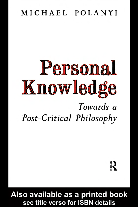# MICHAEL POLANYI

# Personal Knowledge Towards a Post-Critical Philosophy

Also available as a printed book see title verso for ISBN details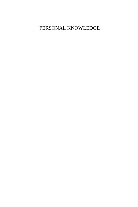### PERSONAL KNOWLEDGE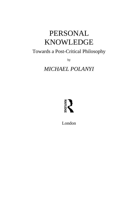# PERSONAL KNOWLEDGE

### Towards a Post-Critical Philosophy

by

### *MICHAEL POLANYI*



London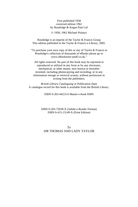#### First published 1958 corrected edition 1962 by Routledge & Kegan Paul Ltd

© 1958, 1962 Michael Polanyi

Routledge is an imprint of the Taylor & Francis Group This edition published in the Taylor & Francis e-Library, 2005.

"To purchase your own copy of this or any of Taylor & Francis or Routledge's collection of thousands of eBooks please go to www.eBookstore.tandf.co.uk."

All rights reserved. No part of this book may be reprinted or reproduced or utilized in any form or by any electronic, mechanical, or other means, now known or hereafter invented, including photocopying and recording, or in any information storage or retrieval system, without permission in writing from the publishers.

*British Library Cataloguing in Publication Data* A catalogue record for this book is available from the British Library.

ISBN 0-203-44215-6 Master e-book ISBN

### ISBN 0-203-75039-X (Adobe e-Reader Format) ISBN 0-415-15149-X (Print Edition)

### *To* SIR THOMAS AND LADY TAYLOR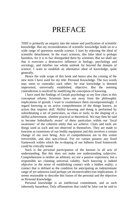## PREFACE

<span id="page-4-0"></span>THIS is primarily an enquiry into the nature and justification of scientific knowledge. But my reconsideration of scientific knowledge leads on to a wide range of questions outside science. I start by rejecting the ideal of scientific detachment. In the exact sciences, this false ideal is perhaps harmless, for it is in fact disregarded there by scientists. But we shall see that it exercises a destructive influence in biology, psychology and sociology, and falsifies our whole outlook far beyond the domain of science. I want to establish an alternative ideal of knowledge, quite generally.

Hence the wide scope of this book and hence also the coining of the new term I have used for my title: Personal Knowledge. The two words may seem to contradict each other: for true knowledge is deemed impersonal, universally established, objective. But the seeming contradiction is resolved by modifying the conception of knowing.

I have used the findings of Gestalt psychology as my first clues to this conceptual reform. Scientists have run away from the philosophic implications of gestalt; I want to countenance them uncompromisingly. I regard knowing as an active comprehension of the things known, an action that requires skill. Skilful knowing and doing is performed by subordinating a set of particulars, as clues or tools, to the shaping of a skilful achievement, whether practical or theoretical. We may then be said to become Subsidiarily aware' of these particulars within our 'focal awareness' of the coherent entity that we achieve. Clues and tools are things used as such and not observed in themselves. They are made to function as extensions of our bodily equipment and this involves a certain change of our own being. Acts of comprehension are to this extent irreversible, and also non-critical. For we cannot possess any fixed framework within which the re-shaping of our hitherto fixed framework could be critically tested.

Such is the *personal participation* of the knower in all acts of understanding. But this does not make our understanding *subjective*. Comprehension is neither an arbitrary act nor a passive experience, but a responsible act claiming universal validity. Such knowing is indeed *objective* in the sense of establishing contact with a hidden reality; a contact that is defined as the condition for anticipating an indeterminate range of yet unknown (and perhaps yet inconceivable) true implications. It seems reasonable to describe this fusion of the personal and the objective as Personal Knowledge.

Personal knowledge is an intellectual commitment, and as such inherently hazardous. Only affirmations that could be false can be said to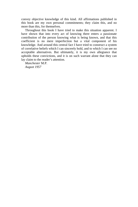convey objective knowledge of this kind. All affirmations published in this book are my own personal commitments; they claim this, and no more than this, for themselves.

Throughout this book I have tried to make this situation apparent. I have shown that into every act of knowing there enters a passionate contribution of the person knowing what is being known, and that this coefficient is no mere imperfection but a vital component of his knowledge. And around this central fact I have tried to construct a system of correlative beliefs which I can sincerely hold, and to which I can see no acceptable alternatives. But ultimately, it is my own allegiance that upholds these convictions, and it is on such warrant alone that they can lay claim to the reader's attention.

*Manchester* M.P. *August 1957*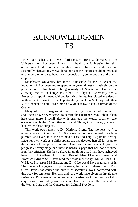# <span id="page-6-0"></span>ACKNOWLEDGMEN TS

THIS book is based on my Gifford Lectures 1951–2, delivered in the University of Aberdeen. I wish to thank the University for this opportunity to develop my thoughts. Since subsequent work has not essentially changed my views, large parts of the lectures could be retained unchanged; other parts have been reconsidered, some cut out and others amplified.

Manchester University has made it possible for me to accept the invitation of Aberdeen and to spend nine years almost exclusively on the preparation of this book. The generosity of Senate and Council in allowing me to exchange my Chair of Physical Chemistry for a Professorial appointment without lecturing duties, has placed me deeply in their debt. I want to thank particularly Sir John S.B.Stopford, then Vice-Chancellor, and Lord Simon of Wythenshawe, then Chairman of the Council.

Many of my colleagues at the University have helped me in my enquiries; I have never ceased to admire their patience. May I thank them here once more. I recall also with gratitude the weeks spent on two occasions with the Committee on Social Thought in Chicago, where I lectured on these subjects.

This work owes much to Dr. Marjorie Grene. The moment we first talked about it in Chicago in 1950 she seemed to have guessed my whole purpose, and ever since she has never ceased to help its pursuit. Setting aside her own work as a philosopher, she has devoted herself for years to the service of the present enquiry. Our discussions have catalysed its progress at every stage and there is hardly a page that has not benefited from her criticism. She has a share in anything that I may have achieved here. Dr. J.H.Oldham, Mr. Irving Kristol, Miss Elizabeth Sewell and Professor Edward Shils have read the whole manuscript; Mr. W.Haas, Dr. W.Mays, Professor M.S.Bartlett and Dr. C.Lejewski have read parts of it. They have all suggested improvements, for which I thank them. Miss Olive Davies has carried the burden of secretarial work connected with this book for ten years. Her skill and hard work have given me invaluable assistance. Expenses of books, travel and assistance in the service of this enquiry were covered by grants received from the Rockefeller Foundation, the Volker Fund and the Congress for Cultural Freedom.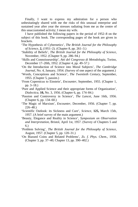Finally, I want to express my admiration for a person who unhesitatingly shared with me the risks of this unusual enterprise and sustained year after year the stresses radiating from me as the centre of this unaccustomed activity; I mean my wife.

I have published the following papers in the period of 1952–8 on the subject of this book. The corresponding pages of the book are given in brackets.

- 'The Hypothesis of Cybernetics', *The British Journal for the Philosophy of Science,* **2,** (1951–2). (Chapter 8, pp. 261–3.)
- 'Stability of Beliefs', *The British Journal for the Philosophy of Science,* November, 1952. (Chapter 9, pp. 286–94.)
- 'Skills and Connoisseurship', *Atti del Congresso di Metodologia,* Torino, December 17–20th, 1952. (Chapter 4, pp. 49–57.)
- 'On the Introduction of Science into Moral Subjects', *The Cambridge Journal,* No. 4, January, 1954. (Survey of one aspect of the argument.)
- 'Words, Conceptions and Science', *The Twentieth Century,* September, 1955. (Chapter 5, passim.)
- 'From Copernicus to Einstein', *Encounter,* September, 1955. (Chapter 1, pp. 3–18.)
- 'Pure and Applied Science and their appropriate forms of Organization', *Dialectica,* **10,** No. 3, 1956. (Chapter 6, pp. 174–84.)
- 'Passion and Controversy in Science', *The Lancet,* June 16th, 1956. (Chapter 6, pp. 134–60.)
- 'The Magic of Marxism', *Encounter,* December, 1956. (Chapter 7, pp. 226–48.)
- 'Scientific Outlook: its Sickness and Cure', *Science,* **125,** March 15th, 1957. (A brief survey of the main argument.)
- 'Beauty, Elegance and Reality in Science', *Symposium on Observation and Interpretation,* Bristol, April 1st, 1957. (Survey of Chapters 5 and 6.)
- 'Problem Solving', *The British Journal for the Philosophy of Science,* August, 1957. (Chapter 5, pp. 120–31.)
- 'On Biassed Coins and Related Problems', *Zs. f*. *Phys. Chem.,* 1958. (Chapter 3, pp. 37–40; Chapter 13, pp. 390–402.)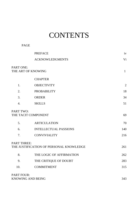# **CONTENTS**

PAGE

|                    | <b>PREFACE</b>                          | iv             |
|--------------------|-----------------------------------------|----------------|
|                    | <b>ACKNOWLEDGMENTS</b>                  | Vi             |
| <b>PART ONE:</b>   | THE ART OF KNOWING                      | $\mathbf{1}$   |
|                    | <b>CHAPTER</b>                          |                |
| 1.                 | <b>OBJECTIVITY</b>                      | $\overline{2}$ |
| 2.                 | <b>PROBABILITY</b>                      | 18             |
| 3.                 | <b>ORDER</b>                            | 34             |
| 4.                 | <b>SKILLS</b>                           | 51             |
| <b>PART TWO:</b>   | THE TACIT COMPONENT                     | 69             |
| 5.                 | <b>ARTICULATION</b>                     | 70             |
| 6.                 | <b>INTELLECTUAL PASSIONS</b>            | 140            |
| 7.                 | <b>CONVIVIALITY</b>                     | 216            |
| <b>PART THREE:</b> | THE JUSTIFICATION OF PERSONAL KNOWLEDGE | 261            |
| 8.                 | THE LOGIC OF AFFIRMATION                | 262            |
| 9.                 | THE CRITIQUE OF DOUBT                   | 283            |
| 10.                | <b>COMMITMENT</b>                       | 315            |
| <b>PART FOUR:</b>  | <b>KNOWING AND BEING</b>                | 343            |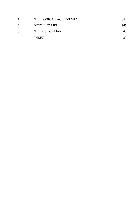| 11. | THE LOGIC OF ACHIEVEMENT | 344 |
|-----|--------------------------|-----|
| 12. | <b>KNOWING LIFE</b>      | 365 |
| 13. | THE RISE OF MAN          | 403 |
|     | <b>INDEX</b>             | 429 |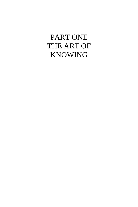# <span id="page-10-0"></span>PART ONE THE ART OF KNOWING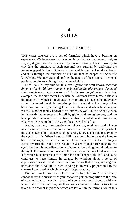### SKILLS

### 1. THE PRACTICE OF SKILLS

<span id="page-11-0"></span>THE exact sciences are a set of formulae which have a bearing on experience. We have seen that in accrediting this bearing, we must rely to varying degrees on our powers of personal knowing. I shall now try to elucidate the structure of such personal acts further, by analysing the forces engaged in them. Science is operated by the skill of the scientist and it is through the exercise of his skill that he shapes his scientific knowledge. We may grasp, therefore, the nature of the scientist's personal participation by examining the structure of skills.

I shall take as my clue for this investigation the well-known fact *that the aim of a skilful performance is achieved by the observance of a set of rules which are not known as such to the person following them*. For example, the decisive factor by which the swimmer keeps himself afloat is the manner by which he regulates his respiration; he keeps his buoyancy at an increased level by refraining from emptying his lungs when breathing out and by inflating them more than usual when breathing in: yet this is not generally known to swimmers. A well-known scientist, who in his youth had to support himself by giving swimming lessons, told me how puzzled he was when he tried to discover what made him swim; whatever he tried to do in the water, he always kept afloat.

Again, from my interrogations of physicists, engineers and bicycle manufacturers, I have come to the conclusion that the principle by which the cyclist keeps his balance is not generally known. The rule observed by the cyclist is this. When he starts falling to the right he turns the handlebars to the right, so that the course of the bicycle is deflected along a curve towards the right. This results in a centrifugal force pushing the cyclist to the left and offsets the gravitational force dragging him down to the right. This manœuvre presently throws the cyclist out of balance to the left, which he counteracts by turning the handlebars to the left; and so he continues to keep himself in balance by winding along a series of appropriate curvatures. A simple analysis shows that for a given angle of unbalance the curvature of each winding is inversely proportional to the square of the speed at which the cyclist is proceeding.

But does this tell us exactly how to ride a bicycle? No. You obviously cannot adjust the curvature of your bicycle's path in proportion to the ratio of your unbalance over the square of your speed; and if you could you would fall off the machine, for there are a number of other factors to be taken into account in practice which are left out in the formulation of this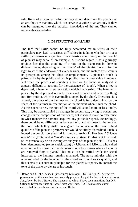rule. Rules of art can be useful, but they do not determine the practice of an art; they are maxims, which can serve as a guide to an art only if they can be integrated into the practical knowledge of the art. They cannot replace this knowledge.

### 2. DESTRUCTIVE ANALYSIS

The fact that skills cannot be fully accounted for in terms of their particulars may lead to serious difficulties in judging whether or not a skilful performance is genuine. The extensive controversy on the 'touch' of pianists may serve as an example. Musicians regard it as a glaringly obvious fact that the sounding of a note on the piano can be done in different ways, depending on the 'touch' of the pianist. To acquire the right touch is the endeavour of every learner, and the mature artist counts its possession among his chief accomplishments. A pianist's touch is prized alike by the public and by his pupils: it has a great value in money. Yet when the process of sounding a note on the piano is analysed, it appears difficult to account for the existence of 'touch'. When a key is depressed, a hammer is set in motion which hits a string. The hammer is pushed by the depressed key only for a short distance and is thereby flung into free motion, which is eventually stopped by the chord. Therefore, it is argued, the effect of the hammer on the chord is fully determined by the speed of the hammer in free motion at the moment when it hits the chord. As this speed varies, the note of the chord will sound more or less loudly. This may be accompanied by changes in colour, etc., owing to concurrent changes in the composition of overtones, but it should make no difference in what manner the hammer acquired any particular speed. Accordingly, there could be no difference as between tyro and virtuoso in the tone of the notes which they strike on a given piano; one of the most valued qualities of the pianist's performance would be utterly discredited. Such is indeed the conclusion you find in standard textbooks like Jeans' *Science and Music* (1937) and A.Wood's *Physics of Music* (1944). Yet this result relies erroneously on an incomplete analysis of the pianist's skill. This has been demonstrated (to my satisfaction) by J.Baron and J.Hollo, who called attention to the noise that the depression of a key makes when all chords are removed from a piano.<sup>1</sup> This noise can be varied while the speed imparted to the hammer remains unaltered. The noise mingles with the note sounded by the hammer on the chord and modifies its quality, and this seems to account in principle for the pianist's capacity to control the tone of the piano by the art of his touch.

<sup>1</sup> J.Baron and J.Hollo, *Zeitschr. fur Sinnesphysiologie,* **66** (1935), p. 23. A renewed presentation of this view has been recently prepared for publication in *Journ. Accoust. Soc., Amer,* by Dr. J.Baron. The manuscript, which I have seen, mentions that O.R. Ortmann (*Physical Basis of Piano Touch and Tone,* 1925) has to some extent anticipated the conclusions of Baron and Hollo.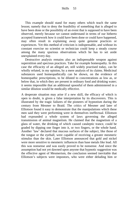Skills 53

This example should stand for many others which teach the same lesson; namely that to deny the feasibility of something that is alleged to have been done or the possibility of an event that is supposed to have been observed, merely because we cannot understand in terms of our hitherto accepted framework how it could have been done or could have happened, may often result in explaining away quite genuine practices or experiences. Yet this method of criticism is indispensable, and without its constant exercise no scientist or technician could keep a steady course among the many spurious observations which he has to set aside unexplained every day.

Destructive analysis remains also an indispensable weapon against superstition and specious practices. Take for example homeopathy. In this case the efficacity of an alleged art, still widely practised today, can be wholly refuted, in my opinion, by a mere analysis of its claims. Medicinal substances used homeopathically can be shown, on the evidence of homeopathic prescriptions, to be diluted to concentrations as low as, or below that, in which they are present in ordinary food and drinking water; it seems impossible that an additional spoonful of them administered in a similar dilution would be medically effective.

A desperate situation may arise if a new skill, the efficacy of which is open to doubt, is given a false interpretation by its discoverers. This is illustrated by the tragic failures of the pioneers of hypnotism during the century from Mesmer to Braid. The critics of Mesmer and later of Elliotson found it easy to demonstrate that the manipulations which these men said they were performing were in themselves ineffectual. Elliotson had expounded a whole system of laws governing the alleged transmission of animal magnetism. He claimed that the magnetism of a glass of water, the drinking of which caused cataleptic trance, could be graded by dipping one finger into it, or two fingers, or the whole hand. Another 'law' declared that mucous surfaces of the subject, like those of the tongue or the eyeball, were capable of receiving a greater mesmeric stimulus than the skin. Later Elliotson announced that gold and nickel were more sensitive to mesmeric influences than base metals like lead. All this was nonsense and was easily proved to be nonsense. And since the assumption had not yet dawned upon anyone that hypnotic suggestion was the effective agent of Mesmerism, the conclusion seemed inevitable that Elliotson's subjects were impostors, who were either deluding him or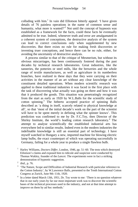colluding with  $him.$ <sup>1</sup> In vain did Elliotson bitterly appeal: 'I have given details of 76 painless operations in the name of common sense and humanity, what more is wanted?<sup>2</sup> Not until the concept of hypnosis was established as a framework for the facts, could these facts be eventually admitted to be true. Indeed, whenever truth and error are amalgamated in a coherent system of conceptions, the destructive analysis of the system can lead to correct conclusions only when supplemented by new discoveries. But there exists no rule for making fresh discoveries or inventing truer conceptions, and hence there can be no rule, either, for avoiding the uncertainty of destructive analysis.

A process similar to that of the critique of Mesmerism, but without its obvious miscarriages, has been continuously fostered during the past decades by technical research laboratories. Great industries, like the tanneries, the potteries or steel mills, like the breweries and the whole range of textile manufactures, as well as agriculture in its numberless branches, have realized in these days that they were carrying on their activities in the manner of an art without any clear knowledge of the constituent detailed operations. When modern scientific research was applied to these traditional industries it was faced in the first place with the task of discovering what actually was going on there and how it was that it produced the goods. This situation was penetratingly recognized from the start as early as 1920 by W.L.Balls for the scientific study of cotton spinning.<sup>3</sup> The hitherto accepted practice of spinning Balls described as 'a thing in itself, scarcely related to physical knowledge at all', so that 'most of the initial decade's work on the part of the scientist will have to be spent merely in defining what the spinner knows'. This prediction was confirmed to me by Dr. F.C.Toy, then Director of the Shirley Institute, the world's leading cotton research laboratory.<sup>4</sup> The attempt to analyse scientifically the established industrial arts has everywhere led to similar results. Indeed even in the modern industries the indefinable knowledge is still an essential part of technology. I have myself watched in Hungary a new, imported machine for blowing electric lamp bulbs, the exact counterpart of which was operating successfully in Germany, failing for a whole year to produce a single flawless bulb.

1 Harley Williams, *Doctors Differ,* London, 1946, pp. 51–60. The tests which destroyed Eiliotson's claims and exposed him to ridicule and suspicion were conducted by Thomas Wakley, founder of the *Lancet.* The experiments were in fact a striking demonstration of hypnotic suggestion. 2

- <sup>3</sup> 'The Nature, Scope and Difficulties of Industrial Research with particular reference to the Cotton Industry', by W.Lawrence Balls, presented to the Tenth International Cotton Congress at Zurich, June 9th–11th, 1920. 4
- $4$  In a letter dated March 13th, 1951, Dr. Toy wrote to me: 'There is no question whatever that in our early years by far our most important work was to discover the scientific bases of the technical processes used in the industry, and not at that time attempt to improve on them by *ad hoc* methods.'

<sup>&</sup>lt;sup>2</sup> *ibid., p.* 76.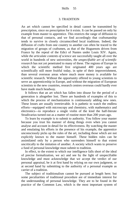### 3. TRADITION

An art which cannot be specified in detail cannot be transmitted by prescription, since no prescription for it exists. It can be passed on only by example from master to apprentice. This restricts the range of diffusion to that of personal contacts, and we find accordingly that craftsmanship tends to survive in closely circumscribed local traditions. Indeed, the diffusion of crafts from one country to another can often be traced to the migration of groups of craftsmen, as that of the Huguenots driven from France by the repeal of the Edict of Nantes under Louis XIV. Again, while *the articulate contents of science* are successfully taught all over the world in hundreds of new universities, *the unspecifiable art of scientific research* has not yet penetrated to many of these. The regions of Europe in which the scientific method first originated 400 years ago are scientifically still more fruitful today, in spite of their impoverishment, than several overseas areas where much more money is available for scientific research. Without the opportunity offered to young scientists to serve an apprenticeship in Europe, and without the migration of European scientists to the new countries, research centres overseas could hardly ever have made much headway.

It follows that an art which has fallen into disuse for the period of a generation is altogether lost. There are hundreds of examples of this to which the process of mechanization is continuously adding new ones. These losses are usually irretrievable. It is pathetic to watch the endless efforts—equipped with microscopy and chemistry, with mathematics and electronics—to reproduce a single violin of the kind the half-literate Stradivarius turned out as a matter of routine more than 200 years ago.

To learn by example is to submit to authority. You follow your master because you trust his manner of doing things even when you cannot analyse and account in detail for its effectiveness. By watching the master and emulating his efforts in the presence of his example, the apprentice unconsciously picks up the rules of the art, including those which are not explicitly known to the master himself. These hidden rules can be assimilated only by a person who surrenders himself to that extent uncritically to the imitation of another. A society which wants to preserve a fund of personal knowledge must submit to tradition.

In effect, to the extent to which our intelligence falls short of the ideal of precise formalization, we act and see by the light of unspecifiable knowledge and must acknowledge that we accept the verdict of our personal appraisal, be it at first hand by relying on our own judgment, or at second hand by submitting to the authority of a personal example as carrier of a tradition.

The subject of traditionalism cannot be pursued at length here; but some peculiarities of traditional procedure are of immediate interest for the understanding of personal knowledge. They are to be found in the practice of the Common Law, which is the most important system of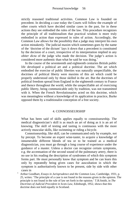strictly reasoned traditional activities. Common Law is founded on precedent. In deciding a case today the Courts will follow the example of other courts which have decided similar cases in the past, for in these actions they see embodied the rules of the law. This procedure recognizes the principle of all traditionalism that practical wisdom is more truly embodied in action than expressed in rules of action. Accordingly, the Common Law allows for the possibility that a judge may interpret his own action mistakenly. The judicial maxim which sometimes goes by the name of the 'doctrine of the dictum' lays it down that a precedent is constituted by the decision of a court, irrespective of its interpretation implied in any *obiter dicta* of the judge who made the decision. The judge's action is considered more authentic than what he said he was doing.<sup>1</sup>

In the course of the seventeenth and eighteenth centuries British public life developed a political art and a political doctrine. The art which embodied the exercise of public liberties was naturally unspecifiable, the doctrines of political liberty were maxims of this art which could be properly understood only by those skilled in the art. But the doctrines of political freedom spread from England in the eighteenth century to France and thence throughout the world, while the unspecifiable art of exercising public liberty, being communicable only by tradition, was not transmitted with it. When the French Revolutionaries acted on this doctrine, which was meaningless without a knowledge of its application in practice, Burke opposed them by a traditionalist conception of a free society.

### 4. CONNOISSEURSHIP

What has been said of skills applies equally to connoisseurship. The medical diagnostician's skill is as much an art of doing as it is an art of knowing. The skill of testing and tasting is continuous with the more actively muscular skills, like swimming or riding a bicycle.

Connoisseurship, like skill, can be communicated only by example, not by precept. To become an expert wine-taster, to acquire a knowledge of innumerable different blends of tea or to be trained as a medical diagnostician, you must go through a long course of experience under the guidance of a master. Unless a doctor can recognize certain symptoms, e.g. the accentuation of the second sound of the pulmonary artery, there is no use in his reading the description of syndromes of which this symptom forms part. He must personally know that symptom and he can learn this only by repeatedly being given cases for auscultation in which the symptom is authoritatively known to be present, side by side with other cases in

 Arthur Goodhart, *Essays in Jurisprudence and the Common Law,* Cambridge, 1931, p. 25, writes: 'The principle of a case is not found in the reasons given in the opinion. The principle is not found in the rule of law set forth in the opinion.' T.B.Smith, in *The Doctrines of Judicial Precedent in Scots Law,* Edinburgh, 1952, shows that this doctrine does not hold equally in Scotland.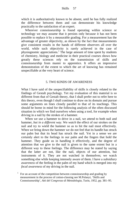which it is authoritatively known to be absent, until he has fully realized the difference between them and can demonstrate his knowledge practically to the satisfaction of an expert.

Wherever connoisseurship is found operating within science or technology we may assume that it persists only because it has not been possible to replace it by a measurable grading. For a measurement has the advantage of greater objectivity, as shown by the fact that measurements give consistent results in the hands of different observers all over the world, while such objectivity is rarely achieved in the case of physiognomic appreciations.<sup>1</sup> The large amount of time spent by students of chemistry, biology and medicine in their practical courses shows how greatly these sciences rely on the transmission of skills and connoisseurship from master to apprentice. It offers an impressive demonstration of the extent to which the art of knowing has remained unspecifiable at the very heart of science.

### 5. TWO KINDS OF AWARENESS

What I have said of the unspecifiability of skills is closely related to the findings of Gestalt psychology. Yet my evaluation of this material is so different from that of Gestalt theory, that I shall prefer not to refer here to this theory, even though I shall continue to draw on its domain and pursue some arguments on lines closely parallel to that of its teachings. This should be borne in mind for the following analysis of the often discussed situation in which we find ourselves when using a tool, for example when driving in a nail by the strokes of a hammer.

When we use a hammer to drive in a nail, we attend to both nail and hammer, *but in a different way*. We *watch* the effect of our strokes on the nail and try to wield the hammer so as to hit the nail most effectively. When we bring down the hammer we do not feel that its handle has struck our palm but that its head has struck the nail. Yet in a sense we are certainly alert to the feelings in our palm and the fingers that hold the hammer. They guide us in handling it effectively, and the degree of attention that we give to the nail is given to the same extent but in a different way to these feelings. The difference may be stated by saying that the latter are not, like the nail, objects of our attention, but instruments of it. They are not watched in themselves; we watch something else while keeping intensely aware of them. I have a *subsidiary awareness* of the feeling in the palm of my hand which is merged into my *focal awareness* of my driving in the nail.

<sup>1</sup> For an account of the competition between connoisseurship and grading by measurement in the process of cotton-classing see M.Polanyi, 'Skills and Connoisseurship', *Atti del Congresso di Metodologia,* Turin, 1952, pp. 381–95.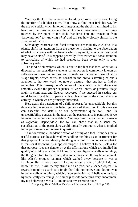We may think of the hammer replaced by a probe, used for exploring the interior of a hidden cavity. Think how a blind man feels his way by the use of a stick, which involves transposing the shocks transmitted to his hand and the muscles holding the stick into an awareness of the things touched by the point of the stick. We have here the transition from 'knowing *how*' to 'knowing *what*' and can see how closely similar is the structure of the two.

Subsidiary awareness and focal awareness are mutually exclusive. If a pianist shifts his attention from the piece he is playing to the observation of what he is doing with his fingers while playing it, he gets confused and may have to stop.<sup>1</sup> This happens generally if we switch our focal attention to particulars of which we had previously been aware only in their subsidiary role.

The kind of clumsiness which is due to the fact that focal attention is directed to the subsidiary elements of an action is commonly known as self-consciousness. A serious and sometimes incurable form of it is 'stage-fright', which seems to consist in the anxious riveting of one's attention to the next word—or note or gesture—that one has to find or remember. This destroys one's sense of the context which alone can smoothly evoke the proper sequence of words, notes, or gestures. Stage fright is eliminated and fluency recovered if we succeed in casting our mind forward and let it operate with a clear view to the comprehensive activity in which we are primarily interested.

Here again the particulars of a skill appear to be unspecifiable, but this time not in the sense of our being ignorant of them. For in this case we can ascertain the details of our performance quite well, and its unspecifiability consists in the fact that the performance is paralysed if we focus our attention on these details. We may describe such a performance as *logically unspecifiable,* for we can show that in a sense the specification of the particulars would logically contradict what is implied in the performance or context in question.

Take for example the identification of a thing as a tool. It implies that a useful purpose can be achieved by handling the thing as an instrument for that purpose. I cannot identify the thing as a tool if I do not know what it is for—or if knowing its supposed purpose, I believe it to be useless for that purpose. Let me denote by  $p$  the affirmations which are implied in qualifying a thing as a tool. If I know or at least hypothetically entertain *p,* the thing is a tool to me; if not, it is something else. It may be an animal, like Alice's croquet hammer which walked away because it was a flamingo. But in most cases, if I come across a tool of which I do not know the use, it will merely strike me as a peculiarly shaped object. To regard it merely as such is to imply that I do not believe and do not even hypothetically entertain *p;* which of course denies that I believe or at least hypothetically entertain *p*. And since *p* asserts something very uncommon, my not believing *p* virtually amounts to my asserting not-*p*.

Comp. e.g. Henri Wallon, *De l'acte à la pensée,* Paris, 1942, p. 223.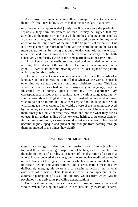An extension of this scheme may allow us to apply it also to the classic theme of Gestalt psychology, which is that the particulars of a pattern

or a tune must be apprehended jointly, for if you observe the particulars separately they form no pattern or tune. It may be argued that my attending to the pattern or tune as a whole implies its being appreciated as a pattern or a tune, and this would be contradicted by switching my focal attention to the single notes of the tune or the fragments of the pattern. But it is perhaps more appropriate to formulate the contradiction in this case in more general terms, by saying that our attention can hold only one focus at a time and that it would hence be self-contradictory to be both subsidiarily and focally aware of the same particulars at the same time.

This scheme can be easily reformulated and expanded in terms of *meaning*. If we discredit the usefulness of a tool, its meaning as a tool is gone. All particulars become meaningless if we lose sight of the pattern which they jointly constitute.

The most pregnant carriers of meaning are of course the words of a language, and it is interesting to recall that when we use words in speech or writing we are aware of them only in a subsidiary manner. This fact, which is usually described as the *transparency* of language, may be illustrated by a homely episode from my own experience. My correspondence arrives at my breakfast table in various languages, but my son understands only English. Having just finished reading a letter I may wish to pass it on to him, but must check myself and look again to see in what language it was written. I am vividly aware of the meaning conveyed by the letter, yet know nothing whatever of its words. I have attended to them closely but only for what they mean and not for what they are as objects. If my understanding of the text were halting, or its expressions or its spelling were faulty, its words would arrest my attention. They would become slightly opaque and prevent my thought from passing through them unhindered to the things they signify.

### 6. WHOLES AND MEANINGS

Gestalt psychology has described the transformation of an object into a tool and the accompanying transposition of feeling, as for example from the palm to the tip of a probe, as instances of the absorption of a part in a whole. I have covered the same ground in somewhat modified terms in order to bring out the logical structure in which a person commits himself to certain beliefs and appreciations, and accepts certain meanings by deliberately merging his awareness of certain particulars into a focal awareness of a whole. This logical structure is not apparent in the automatic perception of visual and auditory wholes from which Gestalt psychology has derived its prevailing generalizations.

But it is illuminating to recast our analysis now in terms of parts and wholes. When focusing on a whole, we are subsidiarily aware of its parts,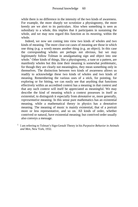while there is no difference in the intensity of the two kinds of awareness. For example, the more sharply we scrutinize a physiognomy, the more keenly are we alert to its particulars. Also when something is seen as subsidiary to a whole, this implies that it participates in sustaining the whole, and we may now regard this function as its *meaning,* within the whole.

Indeed, we now see coming into view two kinds of wholes and two kinds of meaning. The more clear-cut cases of meaning are those in which one thing (e.g. a word) means another thing (e.g. an object). In this case the corresponding wholes are perhaps not obvious, but we may legitimately follow Tolman in amalgamating sign and object into one whole.<sup>1</sup> Other kinds of things, like a physiognomy, a tune or a pattern, are manifestly wholes but this time their meaning is somewhat problematic, for though they are clearly not meaningless, they mean something only in themselves. The distinction between two kinds of awareness allows us readily to acknowledge these two kinds of wholes and two kinds of meaning. Remembering the various uses of a stick, for pointing, for exploring or for hitting, we can easily see that anything that functions effectively within an accredited context has a meaning in that context and that any such context will itself be appreciated as meaningful. We may describe the kind of meaning which a context possesses in itself as *existential,* to distinguish it especially from *denotative* or, more generally, *representative* meaning. In this sense pure mathematics has an existential meaning, while a mathematical theory in physics has a denotative meaning. The meaning of music is mainly existential, that of a portrait more or less representative, and so on. All kinds of order, whether contrived or natural, have existential meaning; but contrived order usually also conveys a message.

<sup>&</sup>lt;sup>1</sup> I am referring to Tolman's Sign-Gestalt Theory in his *Purposive Behavior in Animals and Men,* New York, 1932.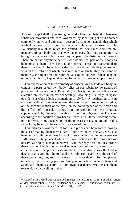### 7. TOOLS AND FRAMEWORKS

As a next step I shall try to strengthen and widen the distinction between subsidiary awareness and focal awareness by identifying it with another commonly known and universally accepted distinction, namely that which we feel between parts of our own body and things that are external to it. We usually take it so much for granted that our hands and feet are members of our body and not external objects, that this assumption is brought home to us only in case they happen to be disturbed by disease. There are certain psychotic patients who do not feel part of their body as belonging to them. They have all the normal sensations transmitted to them from their limbs on both sides, but they do not identify themselves with all the limbs from which these messages originate; they feel some of them, e.g. the right arm and right leg, as external objects. When stepping out of a bath it may happen that they forget to dry these unadopted limbs.<sup>2</sup>

Our appreciation of the externality of objects lying outside our body, in contrast to parts of our own body, relies on our subsidiary awareness of processes within our body. Externality is clearly defined only if we can examine an external object deliberately, localizing it clearly in space outside. But when I look at something, I rely for my localization of it in space on a slight difference between the two images thrown on my retina, on the accommodation of the eyes, on the convergence of their axis and the effort of muscular contraction controlling the eye motion, supplemented by impulses received from the labyrinth, which vary according to the position of my head in space. Of all these I become aware only in terms of my localization of the object I am gazing at; and in this sense I may be said to be subsidiarily aware of them.

Our subsidiary awareness of tools and probes can be regarded now as the act of making them form a part of our own body. The way we use a hammer or a blind man uses his stick, shows in fact that in both cases we shift outwards the points at which we make contact with the things that we observe as objects outside ourselves. While we rely on a tool or a probe, these are not handled as external objects. We may test the tool for its effectiveness or the probe for its suitability, e.g. in discovering the hidden details of a cavity, but the tool and the probe can never lie in the field of these operations; they remain necessarily on our side of it, forming part of ourselves, the operating persons. We pour ourselves out into them and assimilate them as parts of our own existence. We accept them existentially by dwelling in them.

<sup>2</sup> W.Russell Brain, *Mind, Perception and Science,* Oxford, 1951, p. 35. For other variants of 'depersonalization' see e.g. Henderson and Gillespie, *A Textbook of Psychiatry,* Oxford Medical Publications, 7th Edn., 1951, p. 127.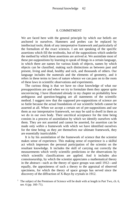#### 8. COMMITMENT

We are faced here with the general principle by which our beliefs are anchored in ourselves. Hammers and probes can be replaced by intellectual tools; think of any interpretative framework and particularly of the formalism of the exact sciences. I am not speaking of the specific assertions which fill the textbooks, but of the suppositions which underlie the method by which these assertions are arrived at. We assimilate most of these pre-suppositions by learning to speak of things in a certain language, in which there are names for various kinds of objects, names by which objects can be classified, making such distinctions as between past and present, living and dead, healthy and sick, and thousands of others. Our language includes the numerals and the elements of geometry, and it refers in these terms to laws of nature whence we can pass on to the roots of these laws in scientific observations and experiments.

The curious thing is that we have no clear knowledge of what our presuppositions are and when we try to formulate them they appear quite unconvincing. I have illustrated already in my chapter on probability how ambiguous and question-begging are all statements of the scientific method. I suggest now that the supposed pre-suppositions of science are so futile because the actual foundations of our scientific beliefs cannot be asserted at all. When we accept a certain set of pre-suppositions and use them as our interpretative framework, we may be said to dwell in them as we do in our own body. Their uncritical acceptance for the time being consists in a process of assimilation by which we identify ourselves with them. They are not asserted and cannot be asserted, for assertion can be made only *within* a framework with which we have identified ourselves for the time being; as they are themselves our ultimate framework, they are essentially inarticulable.<sup>1</sup>

It is by his assimilation of the framework of science that the scientist makes sense of experience. This making sense of experience is a skilful act which impresses the personal participation of the scientist on the resultant knowledge. It includes the skill of carrying out correctly the measurements which verify scientific predictions or the observations by which scientific classifications are applied. And it includes also connoisseurship, by which the scientist appreciates a mathematical theory in the abstract—such as the theory of space groups was until 1912—and equally, the appositeness of such a theory to the appraisal of observed specimens, for which the theory of space groups has served since the discovery of the diffraction of X-Rays by crystals in 1912.

<sup>1</sup> The subject of the Premisses of Science will be dealt with at length in Part Two, ch. 6, see. 6 (pp. 160–71).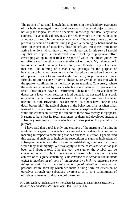The tracing of personal knowledge to its roots in the subsidiary awareness of our body as merged in our focal awareness of external objects, reveals not only the logical structure of personal knowledge but also its dynamic sources. I have analysed previously the beliefs which are implied in using an object as a tool. In the new scheme which I have just drawn up of the process by which an external thing is given a meaning by being made to form an extension of ourselves, these beliefs are transposed into more active intentions which draw on our whole person. In this sense I should say that an object is transformed into a tool by a purposive effort envisaging an operational field in respect of which the object guided by our efforts shall function as an extension of our body. My reliance on it for some end makes an object into a tool, even though it may not achieve that end. The burning of a man's nail pairings for the purpose of bewitching him is an instrumental action based on a mistaken integration of supposed means to supposed ends. Similarly, to pronounce a magic formula, to utter a curse or give a blessing, are verbal actions into which the speaker, confident in their efficacy, pours meaning. Conversely, where the ends are achieved by means which are not intended to produce that result, these means have no instrumental character. If a rat accidentally depresses a lever which releases a food pellet it has not used it as a tool; only after the rat has learned to use it for that purpose does the lever become its tool. Buytendijk has described (as others have done in less detail before him) the radical change in the behaviour of a rat when it has learned to run a maze.<sup>1</sup> The animal ceases to explore the details of the walls and corners on its way and attends to these now merely as signposts. It seems to have lost its focal awareness of them and developed instead a subsidiary awareness of them which now forms part of the pursuit of its purpose.

I have said that a tool is only one example of the merging of a thing in a whole (or a gestalt) in which it is assigned a subsidiary function and a meaning in respect to something that has our focal attention. I generalized this structural analysis to include the recognition of signs as indications of subsequent events and the process of establishing symbols for things which they shall signify. We may apply to these cases also what has just been said about a tool. Like the tool, the sign or the symbol can be conceived as such only in the eyes of a person who *relies on them* to achieve or to signify something. *This reliance is a personal commitment which is involved in all acts of intelligence by which we integrate some things subsidiarily to the centre of our focal attention.* Every act of personal assimilation by which we make a thing form an extension of ourselves through our subsidiary awareness of it, is a commitment of ourselves; a manner of disposing of ourselves.

1 F.J.J.Buytendijk, 'Zielgerichtetes Verhalten der Ratten in einer Freien Situation', *Archives Neerlandaises de Physiologie,* **15** (1930), p. 405.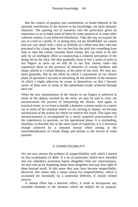But the context of purpose and commitment, as found inherent in the personal contribution of the knower to his knowledge, yet lacks dynamic character. The pouring out of ourselves into the particulars given by experience so as to make sense of them for some purpose or in some other coherent context, is not achieved effortlessly. Take the way we acquire the use of a tool or a probe. If, as seeing men, we are blindfolded, we cannot find our way about with a stick as skilfully as a blind man does who has practised it for a long time. We can feel that the stick hits something from time to time but cannot correlate these events. We can learn to do this only by an intelligent effort at constructing a coherent perception of the things hit by the stick. We then gradually cease to feel a series of jerks in our fingers as such—as we still do in our first clumsy trials—but experience them as the presence of obstacles of certain hardness and shape, placed at a certain distance, at the point of our stick. We may say, more generally, that by the effort by which I concentrate on my chosen plane of operation I succeed in absorbing all the elements of the situation of which I might otherwise be aware in themselves, so that I become aware of them now in terms of the operational results achieved through their use.

When the new interpretation of the shocks in our fingers is achieved in terms of the objects touched by the stick, we may be said to carry out unconsciously the process of interpreting the shocks. And again, in practical terms, as we learn to handle a hammer, a tennis racket or a motor car in terms of the situation which we are striving to master, we become unconscious of the actions by which we achieve this result. This lapse into unconsciousness is accompanied by a newly acquired consciousness of the experiences in question, on the operational plane. It is misleading, therefore, to describe this as the mere result of repetition; it is a structural change achieved by a repeated mental effort aiming at the instrumentalization of certain things and actions in the service of some purpose.

### 9. UNSPECIFIABILITY

We can now answer the problem of unspecifiability with which I started on this examination of skills. If a set of particulars which have subsided into our subsidiary awareness lapses altogether from our consciousness, we may end up by forgetting about them altogether and may lose sight of them beyond recall. In this sense they may have become unspecifiable. However, this seems only a minor reason for unspecifiability, which is accounted for essentially by a somewhat different, if closely related process.

A mental effort has a heuristic effect: it tends to incorporate any available elements of the situation which are helpful for its purpose.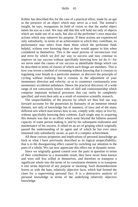Köhler has described this for the case of a practical effort, made by an ape in the presence of an object which may serve as a tool. The animal's insight, he says, reorganizes its field of vision so that the useful object meets his eye as a tool. We may add that this will hold not only of objects which are made use of as tools, but also of the performer's own muscular actions which may subserve his purpose. If these actions are experienced only subsidiarily, in terms of an achievement to which they contribute, its performance may select from them those which the performer finds helpful, without ever knowing these as they would appear to him when considered in themselves. This is the usual process of unconscious trial and error by which we *feel our way* to success and may continue to improve on our success without specifiably knowing how we do it—for we never meet the causes of our success as identifiable things which can be described in terms of classes of which such things are members. This is how you invent a method of swimming without knowing that it consists in regulating your breath in a particular manner, or discover the principle of cycling without realizing that it consists in the adjustment of your momentary direction and velocity, so as to counteract continuously your momentary accidental unbalance. Hence the practical discovery of a wide range of not consciously known rules of skill and connoisseurship which comprise important technical processes that can rarely be completely specified, and even then only as a result of extensive scientific research.

The unspecifiability of the process by which we thus feel our way forward accounts for the possession by humanity of an immense mental domain, not only of knowledge but of manners, of laws and of the many different arts which man knows how to use, comply with, enjoy or live by, without specifiably knowing their contents. Each single step in acquiring this domain was due to an effort which went beyond the hitherto assured capacity of some person making it, and by his subsequent realization and maintenance of his success. It relied on an act of groping which originally passed the understanding of its agent and of which he has ever since remained only subsidiarily aware, as part of a complex achievement.

All these curious properties and implications of personal knowledge go back to what I have previously described as its logical unspecifiability; that is to the disorganizing effect caused by switching our attention to the parts of a whole. We can now appreciate this effect too in dynamic terms.

Since we originally gained control over the parts in question in terms of their contribution to a reasonable result, they have never been known and were still less willed in themselves, and therefore to transpose a significant whole into the terms of its constituent elements is to transpose it into terms deprived of any purpose or meaning. Such dismemberment leaves us with the bare, relatively objective facts, which had formed the clues for a supervening personal fact. It is a destructive analysis of personal knowledge in terms of the underlying relatively objective knowledge.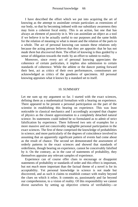I have described the effort which we put into acquiring the art of knowing as the attempt to assimilate certain particulars as extensions of our body, so that by becoming imbued with our subsidiary awareness they may form a coherent focal entity. This is an action, but one that has always an element of *passivity* in it. We can assimilate an object as a tool if we believe it to be actually useful to our purposes and the same holds for the relation of meaning to what is meant and the relation of the parts to a whole. The act of personal knowing can sustain these relations only because the acting person believes that they are apposite: that he has not *made them* but *discovered them*. The effort of knowing is thus guided by a sense of obligation towards the truth: by an effort to submit to reality.

Moreover, since every act of personal knowing appreciates the coherence of certain particulars, it implies also submission to certain standards of coherence. While the athlete or the dancer putting forward their best, act as critics of their own performances, connoisseurs are acknowledged as critics of the goodness of specimens. All personal knowing appraises what it knows by a standard set to itself.

### 10. SUMMARY

Let me sum up my argument so far. I started with the exact sciences, defining them as a mathematical formalism with a bearing on experience. There appeared to be present a personal participation on the part of the scientist in establishing this bearing on experience. This was least noticeable in classical mechanics and I accordingly accepted that chapter of physics as the closest approximation to a completely detached natural science. Its statements could indeed be so formulated as to admit of strict falsification by experience. There followed two sets of examples for a more massive and not conceivably negligible personal participation in the exact sciences. The first of these comprised the knowledge of probabilities in science; and more particularly of the degrees of coincidence involved in assuming that an apparently significant pattern of events had come about as the result of chance. The second set demonstrated the assessment of orderly patterns in the exact sciences and showed that standards of orderliness, though bearing on experience, cannot be conceivably falsified by it. On the contrary, as in the case of statements of probability, they themselves appraise any relevant samples of experience.

Experience can of course offer clues to encourage or disappoint statements of probability or standards of order and this effect is important, but not *much* more important than the factual theme of a novel is for its acceptability. Yet personal knowledge in science is not made but discovered, and as such it claims to establish contact with reality beyond the clues on which it relies. It commits us, passionately and far beyond our comprehension, to a vision of reality. Of this responsibility we cannot divest ourselves by setting up objective criteria of verifiability—or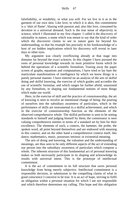falsifiability, or testability, or what you will. For we live in it as in the garment of our own skin. Like love, to which it is akin, this commitment is a 'shirt of flame', blazing with passion and, also like love, consumed by devotion to a universal demand. Such is the true sense of objectivity in science, which I illustrated in my first chapter. I called it the discovery of rationality in nature, a name which was meant to say that the kind of order which the discoverer claims to see in nature goes far beyond his understanding; so that his triumph lies precisely in his foreknowledge of a host of yet hidden implications which his discovery will reveal in later days to other eyes.

My argument was clearly overflowing already at that stage into domains far beyond the exact sciences. In this chapter I have pursued the roots of personal knowledge towards its most primitive forms which lie behind the operations of a scientific formalism. Tearing away the paper screen of graphs, equations and computations, I have tried to lay bare the inarticulate manifestations of intelligence by which we know things in a purely personal manner. I have entered on an analysis of the arts of skilful doing and skilful knowing, the exercise of which guides and accredits the use of scientific formulae, and which ranges far further afield, unassisted by any formalism, in shaping our fundamental notions of most things which make our world.

Here, in the exercise of skill and the practice of connoisseurship, the art of knowing is seen to involve an intentional change of being: the pouring of ourselves into the subsidiary awareness of particulars, which in the performance of skills are instrumental to a skilful achievement, and which in the exercise of connoisseurship function as the elements of the observed comprehensive whole. The skilful performer is seen to be setting standards to himself and judging himself by them; the connoisseur is seen valuing comprehensive entities in terms of a standard set by him for their excellence. The elements of such, a context, the hammer, the probe, the spoken word, all point beyond themselves and are endowed with meaning in this context; and on the other hand a comprehensive context itself, like dance, mathematics, music, possesses intrinsic or existential meaning.

The arts of doing and knowing, the valuation and the understanding of meanings, are thus seen to be only different aspects of the act of extending our person into the subsidiary awareness of particulars which compose a whole. The inherent structure of this fundamental act of personal knowing makes us both necessarily participate in its shaping and acknowledge its results with universal intent. This is the prototype of intellectual commitment.

It is the act of commitment in its full structure that saves personal knowledge from being merely subjective. Intellectual commitment is a responsible decision, in submission to the compelling claims of what in good conscience I conceive to be true. It is an act of hope, striving to fulfil an obligation within a personal situation for which I am not responsible and which therefore determines my calling. This hope and this obligation